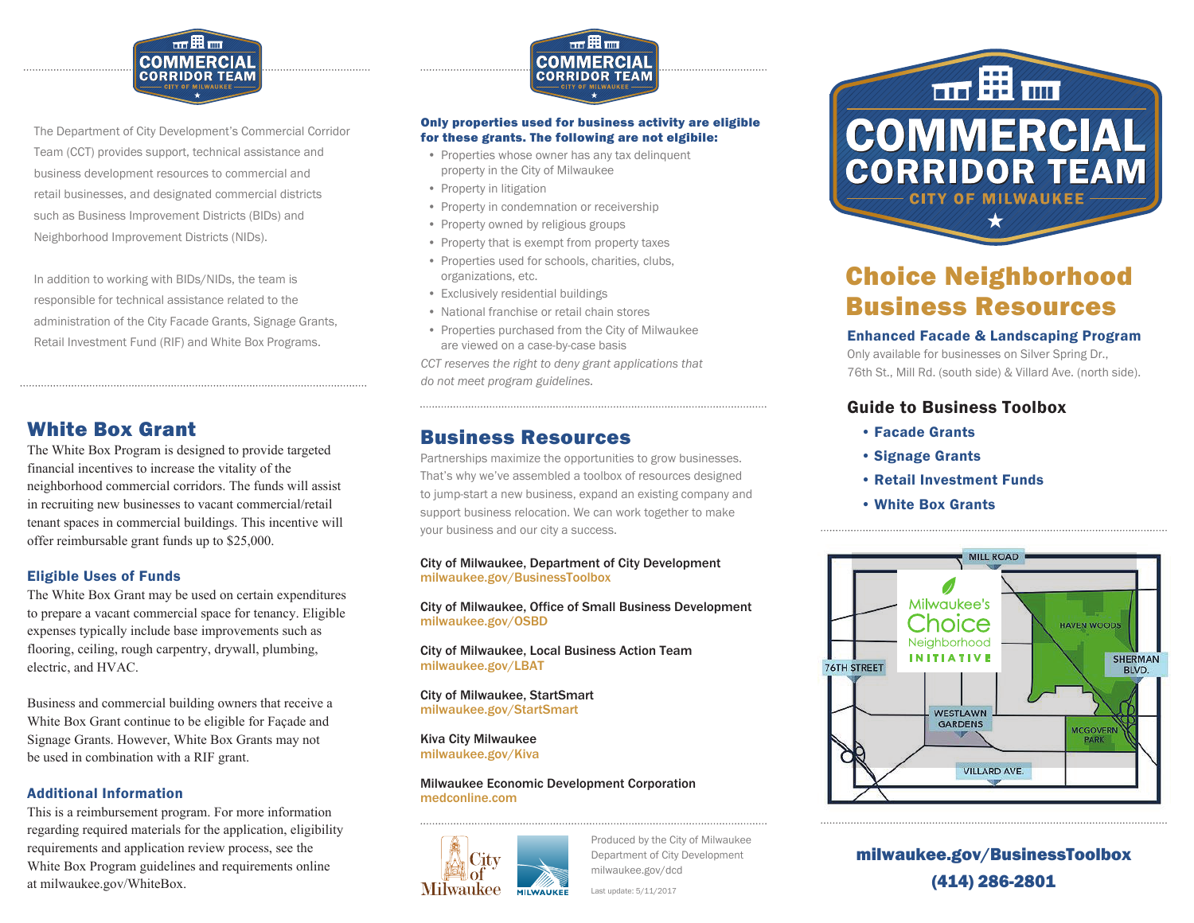

The Department of City Development's Commercial Corridor Team (CCT) provides support, technical assistance and business development resources to commercial and retail businesses, and designated commercial districts such as Business Improvement Districts (BIDs) and Neighborhood Improvement Districts (NIDs).

In addition to working with BIDs/NIDs, the team is responsible for technical assistance related to the administration of the City Facade Grants, Signage Grants, Retail Investment Fund (RIF) and White Box Programs.<br>Retail Investment Fund (RIF) and White Box Programs.<br>Retail Investment Fund (RIF) and White Box Programs.

## White Box Grant

The White Box Program is designed to provide targeted financial incentives to increase the vitality of the neighborhood commercial corridors. The funds will assist in recruiting new businesses to vacant commercial/retail tenant spaces in commercial buildings. This incentive will offer reimbursable grant funds up to \$25,000.

#### Eligible Uses of Funds

The White Box Grant may be used on certain expenditures to prepare a vacant commercial space for tenancy. Eligible expenses typically include base improvements such as flooring, ceiling, rough carpentry, drywall, plumbing, electric, and HVAC.

Business and commercial building owners that receive a White Box Grant continue to be eligible for Façade and Signage Grants. However, White Box Grants may not be used in combination with a RIF grant.

#### Additional Information

This is a reimbursement program. For more information regarding required materials for the application, eligibility requirements and application review process, see the White Box Program guidelines and requirements online at milwaukee.gov/WhiteBox.



#### Only properties used for business activity are eligible for these grants. The following are not elgibile:

- Properties whose owner has any tax delinquent property in the City of Milwaukee
- Property in litigation
- Property in condemnation or receivership
- Property owned by religious groups
- Property that is exempt from property taxes
- Properties used for schools, charities, clubs, organizations, etc.
- Exclusively residential buildings
- National franchise or retail chain stores
- Properties purchased from the City of Milwaukee are viewed on a case-by-case basis

*CCT reserves the right to deny grant applications that do not meet program guidelines.*

### Business Resources

Partnerships maximize the opportunities to grow businesses. That's why we've assembled a toolbox of resources designed to jump-start a new business, expand an existing company and support business relocation. We can work together to make your business and our city a success.

City of Milwaukee, Department of City Development milwaukee.gov/BusinessToolbox

City of Milwaukee, Office of Small Business Development milwaukee.gov/OSBD

City of Milwaukee, Local Business Action Team milwaukee.gov/LBAT

City of Milwaukee, StartSmart milwaukee.gov/StartSmart

Kiva City Milwaukee milwaukee.gov/Kiva

Milwaukee Economic Development Corporation medconline.com



Produced by the City of Milwaukee Department of City Development milwaukee.gov/dcd



# Choice Neighborhood Business Resources

Only available for businesses on Silver Spring Dr., 76th St., Mill Rd. (south side) & Villard Ave. (north side).

#### Guide to Business Toolbox

- Facade Grants
- Signage Grants
- Retail Investment Funds
- White Box Grants



milwaukee.gov/BusinessToolbox (414) 286-2801

Last update: 5/11/2017